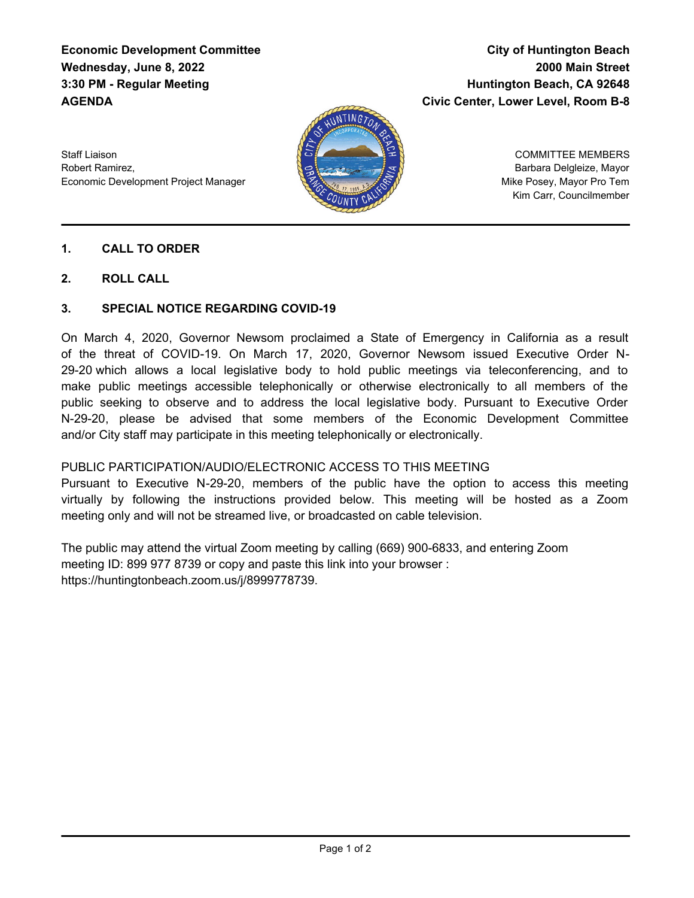## **Economic Development Committee Wednesday, June 8, 2022 3:30 PM - Regular Meeting AGENDA**

# **City of Huntington Beach 2000 Main Street Huntington Beach, CA 92648 Civic Center, Lower Level, Room B-8**

Staff Liaison Robert Ramirez, Economic Development Project Manager



COMMITTEE MEMBERS Barbara Delgleize, Mayor Mike Posey, Mayor Pro Tem Kim Carr, Councilmember

#### **1. CALL TO ORDER**

**2. ROLL CALL**

#### **3. SPECIAL NOTICE REGARDING COVID-19**

On March 4, 2020, Governor Newsom proclaimed a State of Emergency in California as a result of the threat of COVID-19. On March 17, 2020, Governor Newsom issued Executive Order N-29-20 which allows a local legislative body to hold public meetings via teleconferencing, and to make public meetings accessible telephonically or otherwise electronically to all members of the public seeking to observe and to address the local legislative body. Pursuant to Executive Order N-29-20, please be advised that some members of the Economic Development Committee and/or City staff may participate in this meeting telephonically or electronically.

#### PUBLIC PARTICIPATION/AUDIO/ELECTRONIC ACCESS TO THIS MEETING

Pursuant to Executive N-29-20, members of the public have the option to access this meeting virtually by following the instructions provided below. This meeting will be hosted as a Zoom meeting only and will not be streamed live, or broadcasted on cable television.

The public may attend the virtual Zoom meeting by calling (669) 900-6833, and entering Zoom meeting ID: 899 977 8739 or copy and paste this link into your browser : https://huntingtonbeach.zoom.us/j/8999778739.